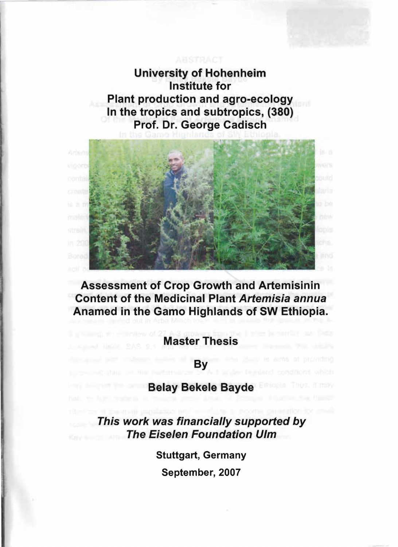University of Hohenheim Institute for Plant production and agro-ecology In the tropics and subtropics, (380) Prof. Dr. George Cadisch



Assessment of Crop Growth and Artemisinin Content of the Medicinal Plant Artemisia annua Anamed in the Gamo Highlands of SW Ethiopia.

Master Thesis

By

## Belay Bekele Bayde

This work was financially supported by The Eise/en Foundation U/m

Stuttgart, Germany

September, 2007